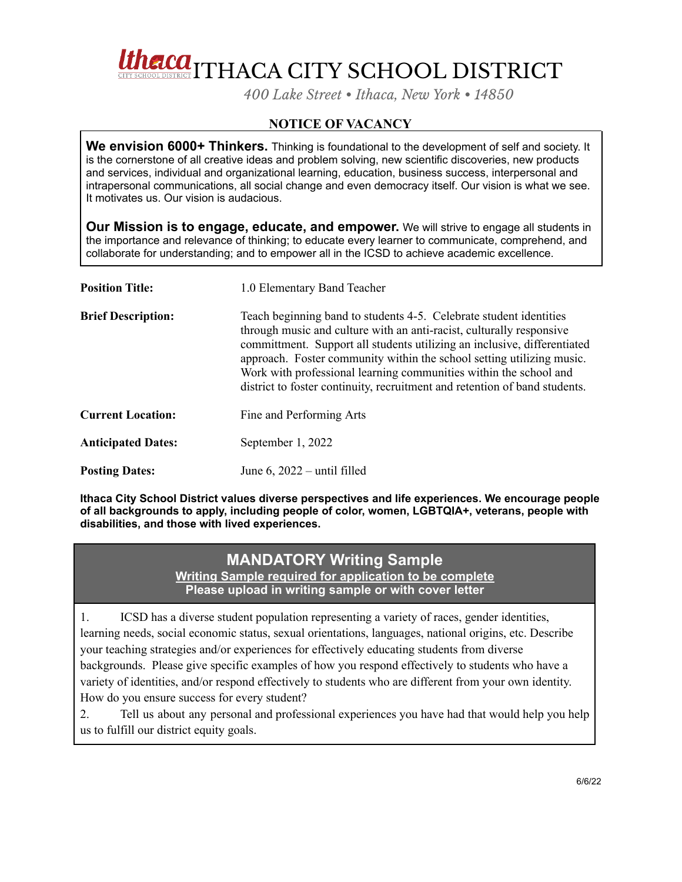

*400 Lake Street • Ithaca, New York • 14850*

## **NOTICE OF VACANCY**

**We envision 6000+ Thinkers.** Thinking is foundational to the development of self and society. It is the cornerstone of all creative ideas and problem solving, new scientific discoveries, new products and services, individual and organizational learning, education, business success, interpersonal and intrapersonal communications, all social change and even democracy itself. Our vision is what we see. It motivates us. Our vision is audacious.

**Our Mission is to engage, educate, and empower.** We will strive to engage all students in the importance and relevance of thinking; to educate every learner to communicate, comprehend, and collaborate for understanding; and to empower all in the ICSD to achieve academic excellence.

| <b>Position Title:</b>    | 1.0 Elementary Band Teacher                                                                                                                                                                                                                                                                                                                                                                                                                        |
|---------------------------|----------------------------------------------------------------------------------------------------------------------------------------------------------------------------------------------------------------------------------------------------------------------------------------------------------------------------------------------------------------------------------------------------------------------------------------------------|
| <b>Brief Description:</b> | Teach beginning band to students 4-5. Celebrate student identities<br>through music and culture with an anti-racist, culturally responsive<br>committment. Support all students utilizing an inclusive, differentiated<br>approach. Foster community within the school setting utilizing music.<br>Work with professional learning communities within the school and<br>district to foster continuity, recruitment and retention of band students. |
| <b>Current Location:</b>  | Fine and Performing Arts                                                                                                                                                                                                                                                                                                                                                                                                                           |
| <b>Anticipated Dates:</b> | September 1, 2022                                                                                                                                                                                                                                                                                                                                                                                                                                  |
| <b>Posting Dates:</b>     | June 6, $2022 - \text{until filled}$                                                                                                                                                                                                                                                                                                                                                                                                               |

**Ithaca City School District values diverse perspectives and life experiences. We encourage people of all backgrounds to apply, including people of color, women, LGBTQIA+, veterans, people with disabilities, and those with lived experiences.**

## **MANDATORY Writing Sample**

**Writing Sample required for application to be complete Please upload in writing sample or with cover letter**

1. ICSD has a diverse student population representing a variety of races, gender identities, learning needs, social economic status, sexual orientations, languages, national origins, etc. Describe your teaching strategies and/or experiences for effectively educating students from diverse backgrounds. Please give specific examples of how you respond effectively to students who have a variety of identities, and/or respond effectively to students who are different from your own identity. How do you ensure success for every student?

2. Tell us about any personal and professional experiences you have had that would help you help us to fulfill our district equity goals.